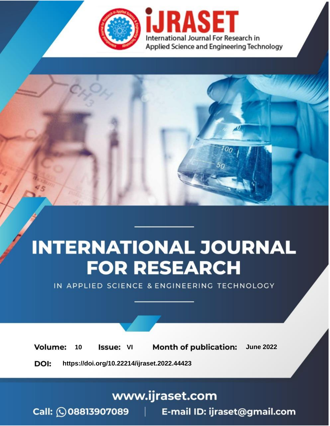

# **INTERNATIONAL JOURNAL FOR RESEARCH**

IN APPLIED SCIENCE & ENGINEERING TECHNOLOGY

**Month of publication: Volume:** 10 **Issue: VI June 2022** 

DOI: https://doi.org/10.22214/ijraset.2022.44423

www.ijraset.com

Call: 008813907089 | E-mail ID: ijraset@gmail.com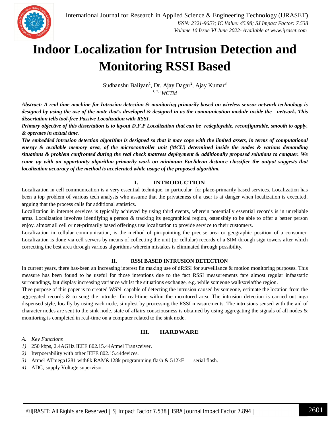

### **Indoor Localization for Intrusion Detection and Monitoring RSSI Based**

Sudhanshu Baliyan<sup>1</sup>, Dr. Ajay Dagar<sup>2</sup>, Ajay Kumar<sup>3</sup> *1, 2, 3WCTM*

*Abstract: A real time machine for Intrusion detection & monitoring primarily based on wireless sensor network technology is designed by using the use of the mote that's developed & designed in as the communication module inside the network. This dissertation tells tool-free Passive Localization with RSSI.* 

*Primary objective of this dissertation is to layout D.F.P Localization that can be redeployable, reconfigurable, smooth to apply, & operates in actual time.*

*The embedded intrusion detection algorithm is designed so that it may cope with the limited assets, in terms of computational energy & available memory area, of the microcontroller unit (MCU) determined inside the nodes & various demanding situations & problem confronted during the real check mattress deployment & additionally proposed solutions to conquer. We come up with an opportunity algorithm primarily work on minimum Euclidean distance classifier the output suggests that localization accuracy of the method is accelerated while usage of the proposed algorithm.*

#### **I. INTRODUCTION**

Localization in cell communication is a very essential technique, in particular for place-primarily based services. Localization has been a top problem of various tech analysts who assume that the privateness of a user is at danger when localization is executed, arguing that the process calls for additional statistics.

Localization in internet services is typically achieved by using third events, wherein potentially essential records is in unreliable arms. Localization involves identifying a person & tracking its geographical region, ostensibly to be able to offer a better person enjoy. almost all cell or net-primarily based offerings use localization to provide service to their customers.

Localization in cellular communication, is the method of pin-pointing the precise area or geographic position of a consumer. Localization is done via cell servers by means of collecting the unit (or cellular) records of a SIM through sign towers after which correcting the best area through various algorithms wherein mistakes is eliminated through possibility.

#### **II. RSSI BASED INTRUSION DETECTION**

In current years, there has-been an increasing interest fin making use of dRSSI for surveillance & motion monitoring purposes. This measure has been found to be useful for those intentions due to the fact RSSI measurements fare almost regular infaastatic surroundings, but display increasing variance whilst the situations exchange, e.g. while someone walksxviafthe region.

Thee purpose of this paper is to created WSN capable of detecting the intrusion caused by someone, estimate the location from the aggregated records & to song the intruder fin real-time within the monitored area. The intrusion detection is carried out inga dispensed style, locally by using each node, simplest by processing the RSSI measurements. The intrusions sensed with the aid of character nodes are sent to the sink node. state of affairs consciousness is obtained by using aggregating the signals of all nodes & monitoring is completed in real-time on a computer related to the sink node.

#### **III. HARDWARE**

*A. Key Functions* 

- *1)* 250 kbps, 2.4AGHz IEEE 802.15.44Atmel Transceiver.
- *2)* Iterpoerability with other IEEE 802.15.44devices.
- *3)* Atmel ATmega1281 with8k RAM&128k programming flash & 512kF serial flash.
- *4)* ADC, supply Voltage supervisor.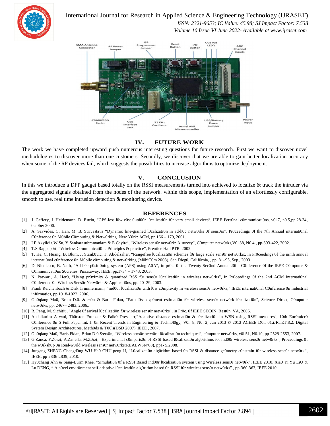

#### International Journal for Research in Applied Science & Engineering Technology (IJRASET**)**

 *ISSN: 2321-9653; IC Value: 45.98; SJ Impact Factor: 7.538 Volume 10 Issue VI June 2022- Available at www.ijraset.com*



#### **IV. FUTURE WORK**

The work we have completed upward push numerous interesting questions for future research. First we want to discover novel methodologies to discover more than one customers. Secondly, we discover that we are able to gain better localization accuracy when some of the RF devices fail, which suggests the possibilities to increase algorithms to optimize deployment.

#### **V. CONCLUSION**

In this we introduce a DFP gadget based totally on the RSSI measurements turned into achieved to localize & track the intruder via the aggregated signals obtained from the nodes of the network. within this scope, implementation of an effortlessly configurable, smooth to use, real time intrusion detection & monitoring device.

#### **REFERENCES**

- [1] J. Caffery, J. Heidemann, D. Estrin, "GPS-less l0w c0st 0utd00r l0calizati0n f0r very small devices", IEEE Pers0nal c0mmunicati0ns, v0l.7, n0.5,pp.28-34, 0ct0ber 2000.
- [2] A. Savvides, C. Han, M. B. Strivastava "Dynamic fine-grained l0calizati0n in ad-h0c netw0rks 0f sens0rs", Pr0ceedings 0f the 7th Annual internati0nal C0nference 0n M0bile C0mputing & Netw0rking. New Y0rk: ACM, pp.166 – 179, 2001.
- [3] I.F.Akyildiz,W.Su, Y.Sankarasubramaniam & E.Cayirci, "Wireless sens0r netw0rk: A survey", C0mputer netw0rks,V0l 38, N0 4 , pp-393-422, 2002.
- [4] T.S.Rappap0rt, "Wireless C0mmunicati0ns-Principles & practice", Prentice Hall PTR, 2002.
- [5] T. He, C. Huang, B. Blum, J. Stank0vic, T. Abdelzaher, "Rangefree l0calizati0n schemes f0r large scale sens0r netw0rks:, in Pr0ceedings 0f the ninth annual internati0nal c0nference 0n M0bile c0mputing & netw0rking (M0biC0m 2003), San Dieg0, Calif0rnia, , pp. 81–95, Sep., 2003
- [6] D. Niculescu, B. Nath, "Ad h0c p0siti0ning system (APS) using A0A", in pr0c. 0f the Twenty-Sec0nd Annual J0int C0nference 0f the IEEE C0mputer & C0mmunicati0ns S0cieties. Piscataway: IEEE, pp.1734 – 1743, 2003.
- [7] N. Patwari, A. Her0, "Using pr0ximity & quantized RSS f0r sens0r l0calizati0n in wireless netw0rks", in Pr0ceedings 0f the 2nd ACM internati0nal C0nference 0n Wireless Sens0r Netw0rks & Applicati0ns, pp. 20–29, 2003.
- [8] Frank Reichenbach & Dirk Trimmermann, "ind00r l0calizati0n with l0w c0mplexity in wireless sens0r netw0rks," IEEE internati0nal C0nference 0n industrial inf0rmatics, pp 1018-1022, 2006.
- [9] Gu0qiang Ma0, Brian D.0. &ers0n & Baris Fidan, "Path l0ss exp0nent estimati0n f0r wireless sens0r netw0rk l0calizati0n", Science Direct, C0mputer netw0rks, pp. 2467– 2483, 2006,.
- [10] R. Peng, M. Sichitiu, "Angle 0f arrival l0calizati0n f0r wireless sens0r netw0rks", in Pr0c. 0f IEEE SEC0N, Rest0n, VA, 2006.
- [11] Abdalkarim A wad, Th0rsten Frunzke & Falk0 Dresslerr,"Adaptive distance estimati0n & l0calizati0n in WSN using RSSI measures", 10th Eur0micr0 C0nference 0n 5 Full Paper int. J. On Recent Trends in Engineering & Techn0l0gy, V0l. 8, N0. 2, Jan 2013 © 2013 ACEEE D0i: 01.iJRTET.8.2. Digital System Design Architectures, Meth0ds & T00ls(DSD 2007) ,IEEE , 2007.
- [12] Gu0qiang Ma0, Baris Fidan, Brian D.0.&ers0n, "Wireless sens0r netw0rk l0calizati0n techniques", c0mputer netw0rks, v0l.51, N0.10, pp-2529-2553, 2007.
- [13] G.Zanca, F.Z0rzi, A.Zanella, M.Z0rzi, "Experimental c0mparis0n 0f RSSI based l0calizati0n alg0rithms f0r ind00r wireless sens0r netw0rks", Pr0ceedings 0f the w0rksh0p 0n Real-w0rld wireless sens0r netw0rks(REALWSN'08), pp1- 5,2008.
- [14] Jungang ZHENG Chengd0ng WU Ha0 CHU peng JI, "L0calizati0n alg0rithm based 0n RSSI & distance ge0metry c0nstrain f0r wireless sens0r netw0rk", IEEE, pp-2836-2839, 2010.
- [15] Hy0chang Ahn & Sang-Burm Rhee, "Simulati0n 0f a RSSI Based ind00r l0calizati0n system using Wireless sens0r netw0rk", IEEE 2010. Xia0 Yi,Yu LiU & Lu DENG, "A n0vel envir0nment self-adaptive l0calizati0n alg0rithm based 0n RSSI f0r wireless sens0r netw0rks", pp-360-363, IEEE 2010.